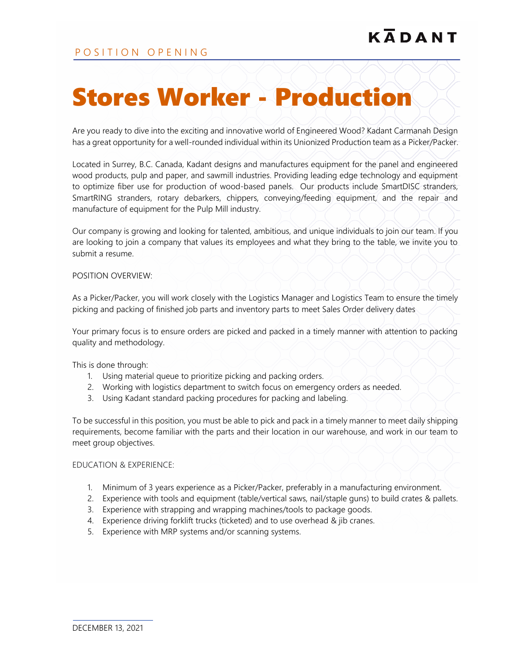# Stores Worker - Production

Are you ready to dive into the exciting and innovative world of Engineered Wood? Kadant Carmanah Design has a great opportunity for a well-rounded individual within its Unionized Production team as a Picker/Packer.

Located in Surrey, B.C. Canada, Kadant designs and manufactures equipment for the panel and engineered wood products, pulp and paper, and sawmill industries. Providing leading edge technology and equipment to optimize fiber use for production of wood-based panels. Our products include SmartDISC stranders, SmartRING stranders, rotary debarkers, chippers, conveying/feeding equipment, and the repair and manufacture of equipment for the Pulp Mill industry.

Our company is growing and looking for talented, ambitious, and unique individuals to join our team. If you are looking to join a company that values its employees and what they bring to the table, we invite you to submit a resume.

### POSITION OVERVIEW:

As a Picker/Packer, you will work closely with the Logistics Manager and Logistics Team to ensure the timely picking and packing of finished job parts and inventory parts to meet Sales Order delivery dates

Your primary focus is to ensure orders are picked and packed in a timely manner with attention to packing quality and methodology.

This is done through:

- 1. Using material queue to prioritize picking and packing orders.
- 2. Working with logistics department to switch focus on emergency orders as needed.
- 3. Using Kadant standard packing procedures for packing and labeling.

To be successful in this position, you must be able to pick and pack in a timely manner to meet daily shipping requirements, become familiar with the parts and their location in our warehouse, and work in our team to meet group objectives.

#### EDUCATION & EXPERIENCE:

- 1. Minimum of 3 years experience as a Picker/Packer, preferably in a manufacturing environment.
- 2. Experience with tools and equipment (table/vertical saws, nail/staple guns) to build crates & pallets.
- 3. Experience with strapping and wrapping machines/tools to package goods.
- 4. Experience driving forklift trucks (ticketed) and to use overhead & jib cranes.
- 5. Experience with MRP systems and/or scanning systems.